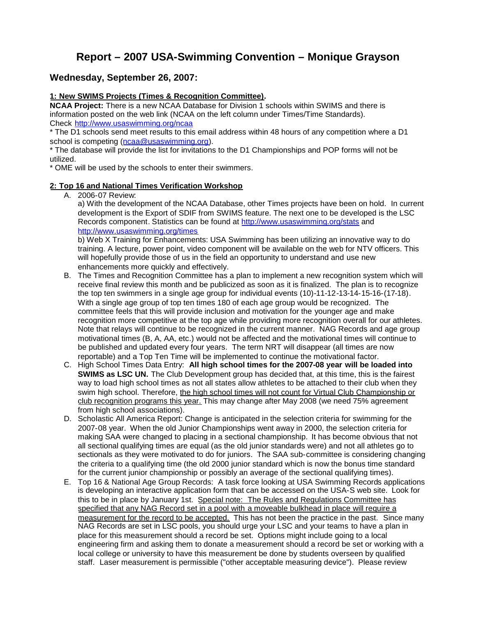# **Report – 2007 USA-Swimming Convention – Monique Grayson**

# **Wednesday, September 26, 2007:**

## **1: New SWIMS Projects (Times & Recognition Committee).**

**NCAA Project:** There is a new NCAA Database for Division 1 schools within SWIMS and there is information posted on the web link (NCAA on the left column under Times/Time Standards). Check http://www.usaswimming.org/ncaa

\* The D1 schools send meet results to this email address within 48 hours of any competition where a D1 school is competing (ncaa@usaswimming.org).

\* The database will provide the list for invitations to the D1 Championships and POP forms will not be utilized.

\* OME will be used by the schools to enter their swimmers.

#### **2: Top 16 and National Times Verification Workshop**

A. 2006-07 Review:

a) With the development of the NCAA Database, other Times projects have been on hold. In current development is the Export of SDIF from SWIMS feature. The next one to be developed is the LSC Records component. Statistics can be found at http://www.usaswimming.org/stats and http://www.usaswimming.org/times

b) Web X Training for Enhancements: USA Swimming has been utilizing an innovative way to do training. A lecture, power point, video component will be available on the web for NTV officers. This will hopefully provide those of us in the field an opportunity to understand and use new enhancements more quickly and effectively.

- B. The Times and Recognition Committee has a plan to implement a new recognition system which will receive final review this month and be publicized as soon as it is finalized. The plan is to recognize the top ten swimmers in a single age group for individual events (10)-11-12-13-14-15-16-(17-18). With a single age group of top ten times 180 of each age group would be recognized. The committee feels that this will provide inclusion and motivation for the younger age and make recognition more competitive at the top age while providing more recognition overall for our athletes. Note that relays will continue to be recognized in the current manner. NAG Records and age group motivational times (B, A, AA, etc.) would not be affected and the motivational times will continue to be published and updated every four years. The term NRT will disappear (all times are now reportable) and a Top Ten Time will be implemented to continue the motivational factor.
- C. High School Times Data Entry: **All high school times for the 2007-08 year will be loaded into SWIMS as LSC UN.** The Club Development group has decided that, at this time, this is the fairest way to load high school times as not all states allow athletes to be attached to their club when they swim high school. Therefore, the high school times will not count for Virtual Club Championship or club recognition programs this year. This may change after May 2008 (we need 75% agreement from high school associations).
- D. Scholastic All America Report: Change is anticipated in the selection criteria for swimming for the 2007-08 year. When the old Junior Championships went away in 2000, the selection criteria for making SAA were changed to placing in a sectional championship. It has become obvious that not all sectional qualifying times are equal (as the old junior standards were) and not all athletes go to sectionals as they were motivated to do for juniors. The SAA sub-committee is considering changing the criteria to a qualifying time (the old 2000 junior standard which is now the bonus time standard for the current junior championship or possibly an average of the sectional qualifying times).
- E. Top 16 & National Age Group Records: A task force looking at USA Swimming Records applications is developing an interactive application form that can be accessed on the USA-S web site. Look for this to be in place by January 1st. Special note: The Rules and Regulations Committee has specified that any NAG Record set in a pool with a moveable bulkhead in place will require a measurement for the record to be accepted. This has not been the practice in the past. Since many NAG Records are set in LSC pools, you should urge your LSC and your teams to have a plan in place for this measurement should a record be set. Options might include going to a local engineering firm and asking them to donate a measurement should a record be set or working with a local college or university to have this measurement be done by students overseen by qualified staff. Laser measurement is permissible ("other acceptable measuring device"). Please review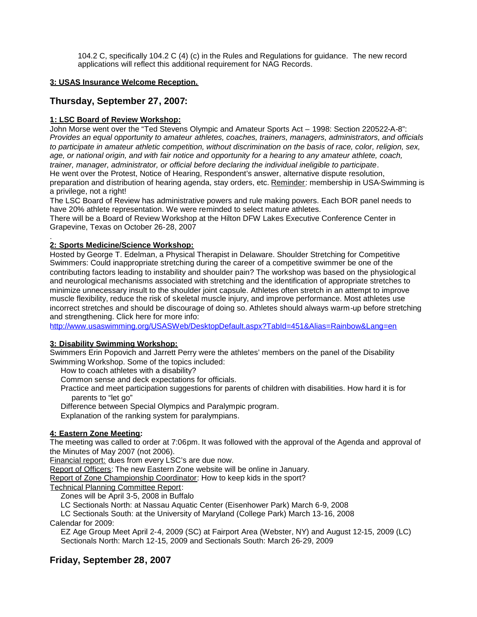104.2 C, specifically 104.2 C (4) (c) in the Rules and Regulations for guidance. The new record applications will reflect this additional requirement for NAG Records.

### **3: USAS Insurance Welcome Reception.**

# **Thursday, September 27, 2007:**

### **1: LSC Board of Review Workshop:**

John Morse went over the "Ted Stevens Olympic and Amateur Sports Act – 1998: Section 220522-A-8": *Provides an equal opportunity to amateur athletes, coaches, trainers, managers, administrators, and officials to participate in amateur athletic competition, without discrimination on the basis of race, color, religion, sex, age, or national origin, and with fair notice and opportunity for a hearing to any amateur athlete, coach, trainer, manager, administrator, or official before declaring the individual ineligible to participate*. He went over the Protest, Notice of Hearing, Respondent's answer, alternative dispute resolution, preparation and distribution of hearing agenda, stay orders, etc. Reminder: membership in USA-Swimming is a privilege, not a right!

The LSC Board of Review has administrative powers and rule making powers. Each BOR panel needs to have 20% athlete representation. We were reminded to select mature athletes.

There will be a Board of Review Workshop at the Hilton DFW Lakes Executive Conference Center in Grapevine, Texas on October 26-28, 2007

#### . **2: Sports Medicine/Science Workshop:**

Hosted by George T. Edelman, a Physical Therapist in Delaware. Shoulder Stretching for Competitive Swimmers: Could inappropriate stretching during the career of a competitive swimmer be one of the contributing factors leading to instability and shoulder pain? The workshop was based on the physiological and neurological mechanisms associated with stretching and the identification of appropriate stretches to minimize unnecessary insult to the shoulder joint capsule. Athletes often stretch in an attempt to improve muscle flexibility, reduce the risk of skeletal muscle injury, and improve performance. Most athletes use incorrect stretches and should be discourage of doing so. Athletes should always warm-up before stretching and strengthening. Click here for more info:

http://www.usaswimming.org/USASWeb/DesktopDefault.aspx?TabId=451&Alias=Rainbow&Lang=en

#### **3: Disability Swimming Workshop:**

Swimmers Erin Popovich and Jarrett Perry were the athletes' members on the panel of the Disability Swimming Workshop. Some of the topics included:

How to coach athletes with a disability?

Common sense and deck expectations for officials.

Practice and meet participation suggestions for parents of children with disabilities. How hard it is for parents to "let go"

Difference between Special Olympics and Paralympic program.

Explanation of the ranking system for paralympians.

### **4: Eastern Zone Meeting:**

The meeting was called to order at 7:06pm. It was followed with the approval of the Agenda and approval of the Minutes of May 2007 (not 2006).

Financial report: dues from every LSC's are due now.

Report of Officers: The new Eastern Zone website will be online in January.

Report of Zone Championship Coordinator: How to keep kids in the sport?

Technical Planning Committee Report:

Zones will be April 3-5, 2008 in Buffalo

LC Sectionals North: at Nassau Aquatic Center (Eisenhower Park) March 6-9, 2008

LC Sectionals South: at the University of Maryland (College Park) March 13-16, 2008

Calendar for 2009:

EZ Age Group Meet April 2-4, 2009 (SC) at Fairport Area (Webster, NY) and August 12-15, 2009 (LC) Sectionals North: March 12-15, 2009 and Sectionals South: March 26-29, 2009

# **Friday, September 28, 2007**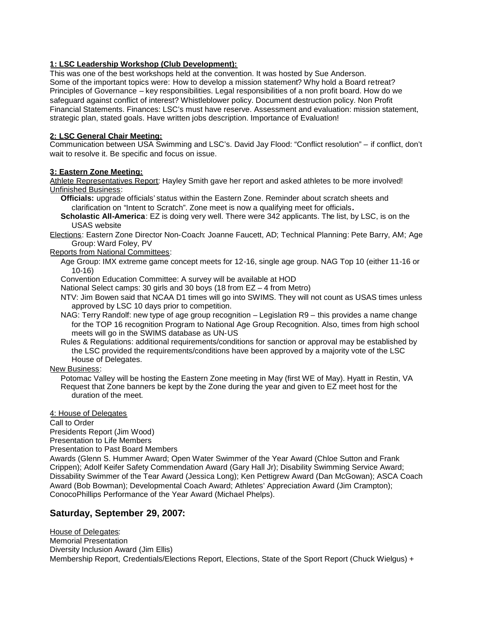## **1: LSC Leadership Workshop (Club Development):**

This was one of the best workshops held at the convention. It was hosted by Sue Anderson. Some of the important topics were: How to develop a mission statement? Why hold a Board retreat? Principles of Governance – key responsibilities. Legal responsibilities of a non profit board. How do we safeguard against conflict of interest? Whistleblower policy. Document destruction policy. Non Profit Financial Statements. Finances: LSC's must have reserve. Assessment and evaluation: mission statement, strategic plan, stated goals. Have written jobs description. Importance of Evaluation!

#### **2: LSC General Chair Meeting:**

Communication between USA Swimming and LSC's. David Jay Flood: "Conflict resolution" – if conflict, don't wait to resolve it. Be specific and focus on issue.

#### **3: Eastern Zone Meeting:**

Athlete Representatives Report: Hayley Smith gave her report and asked athletes to be more involved! Unfinished Business:

**Officials:** upgrade officials' status within the Eastern Zone. Reminder about scratch sheets and clarification on "Intent to Scratch". Zone meet is now a qualifying meet for officials**.**

**Scholastic All-America**: EZ is doing very well. There were 342 applicants. The list, by LSC, is on the USAS website

Elections: Eastern Zone Director Non-Coach: Joanne Faucett, AD; Technical Planning: Pete Barry, AM; Age Group: Ward Foley, PV

Reports from National Committees:

Age Group: IMX extreme game concept meets for 12-16, single age group. NAG Top 10 (either 11-16 or 10-16)

Convention Education Committee: A survey will be available at HOD

National Select camps: 30 girls and 30 boys (18 from EZ – 4 from Metro)

NTV: Jim Bowen said that NCAA D1 times will go into SWIMS. They will not count as USAS times unless approved by LSC 10 days prior to competition.

NAG: Terry Randolf: new type of age group recognition – Legislation R9 – this provides a name change for the TOP 16 recognition Program to National Age Group Recognition. Also, times from high school meets will go in the SWIMS database as UN-US

Rules & Regulations: additional requirements/conditions for sanction or approval may be established by the LSC provided the requirements/conditions have been approved by a majority vote of the LSC House of Delegates.

New Business:

Potomac Valley will be hosting the Eastern Zone meeting in May (first WE of May). Hyatt in Restin, VA Request that Zone banners be kept by the Zone during the year and given to EZ meet host for the duration of the meet.

4: House of Delegates

Call to Order

Presidents Report (Jim Wood)

Presentation to Life Members

Presentation to Past Board Members

Awards (Glenn S. Hummer Award; Open Water Swimmer of the Year Award (Chloe Sutton and Frank Crippen); Adolf Keifer Safety Commendation Award (Gary Hall Jr); Disability Swimming Service Award; Dissability Swimmer of the Tear Award (Jessica Long); Ken Pettigrew Award (Dan McGowan); ASCA Coach Award (Bob Bowman); Developmental Coach Award; Athletes' Appreciation Award (Jim Crampton); ConocoPhillips Performance of the Year Award (Michael Phelps).

# **Saturday, September 29, 2007:**

House of Delegates: Memorial Presentation Diversity Inclusion Award (Jim Ellis) Membership Report, Credentials/Elections Report, Elections, State of the Sport Report (Chuck Wielgus) +